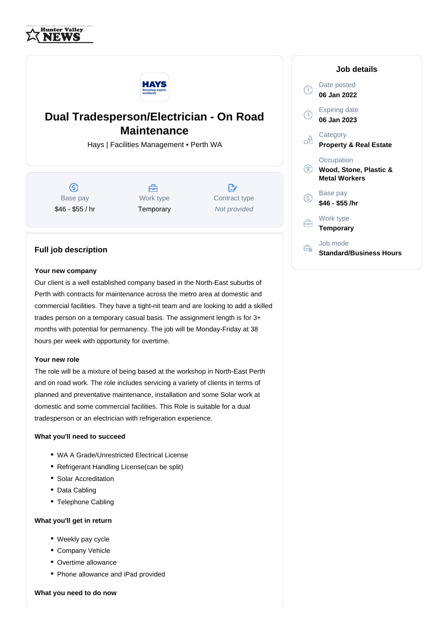



# **Dual Tradesperson/Electrician - On Road Maintenance**

Hays | Facilities Management • Perth WA

 $\circledS$ Base pay \$46 - \$55 / hr

A Work type **Temporary** 

 $\mathbb{R}^n$ Contract type Not provided

# **Job details**



## **Full job description**

## **Your new company**

Our client is a well established company based in the North-East suburbs of Perth with contracts for maintenance across the metro area at domestic and commercial facilities. They have a tight-nit team and are looking to add a skilled trades person on a temporary casual basis. The assignment length is for 3+ months with potential for permanency. The job will be Monday-Friday at 38 hours per week with opportunity for overtime.

#### **Your new role**

The role will be a mixture of being based at the workshop in North-East Perth and on road work. The role includes servicing a variety of clients in terms of planned and preventative maintenance, installation and some Solar work at domestic and some commercial facilities. This Role is suitable for a dual tradesperson or an electrician with refrigeration experience.

## **What you'll need to succeed**

- WA A Grade/Unrestricted Electrical License
- Refrigerant Handling License (can be split)
- Solar Accreditation
- Data Cabling
- Telephone Cabling

#### **What you'll get in return**

- Weekly pay cycle
- Company Vehicle
- Overtime allowance
- Phone allowance and iPad provided

**What you need to do now**